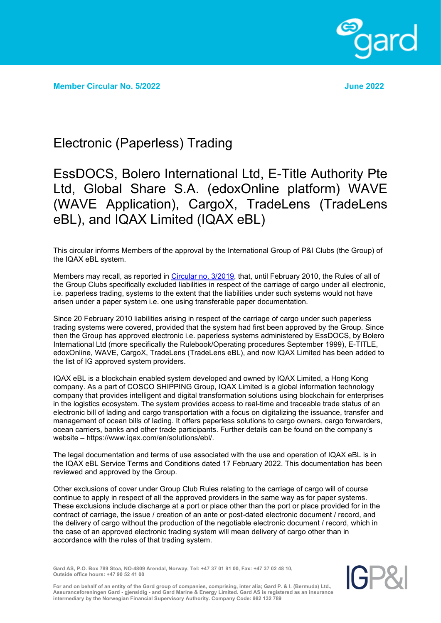

**Member Circular No. 5/2022 June 2022**

## Electronic (Paperless) Trading

## EssDOCS, Bolero International Ltd, E-Title Authority Pte Ltd, Global Share S.A. (edoxOnline platform) WAVE (WAVE Application), CargoX, TradeLens (TradeLens eBL), and IQAX Limited (IQAX eBL)

This circular informs Members of the approval by the International Group of P&I Clubs (the Group) of the IQAX eBL system.

Members may recall, as reported in [Circular no. 3/2019,](https://www.gard.no/Content/27791558/cache=20201902114005/MemberCircular_3_2019.pdf) that, until February 2010, the Rules of all of the Group Clubs specifically excluded liabilities in respect of the carriage of cargo under all electronic, i.e. paperless trading, systems to the extent that the liabilities under such systems would not have arisen under a paper system i.e. one using transferable paper documentation.

Since 20 February 2010 liabilities arising in respect of the carriage of cargo under such paperless trading systems were covered, provided that the system had first been approved by the Group. Since then the Group has approved electronic i.e. paperless systems administered by EssDOCS, by Bolero International Ltd (more specifically the Rulebook/Operating procedures September 1999), E-TITLE, edoxOnline, WAVE, CargoX, TradeLens (TradeLens eBL), and now IQAX Limited has been added to the list of IG approved system providers.

IQAX eBL is a blockchain enabled system developed and owned by IQAX Limited, a Hong Kong company. As a part of COSCO SHIPPING Group, IQAX Limited is a global information technology company that provides intelligent and digital transformation solutions using blockchain for enterprises in the logistics ecosystem. The system provides access to real-time and traceable trade status of an electronic bill of lading and cargo transportation with a focus on digitalizing the issuance, transfer and management of ocean bills of lading. It offers paperless solutions to cargo owners, cargo forwarders, ocean carriers, banks and other trade participants. Further details can be found on the company's website – https://www.iqax.com/en/solutions/ebl/.

The legal documentation and terms of use associated with the use and operation of IQAX eBL is in the IQAX eBL Service Terms and Conditions dated 17 February 2022. This documentation has been reviewed and approved by the Group.

Other exclusions of cover under Group Club Rules relating to the carriage of cargo will of course continue to apply in respect of all the approved providers in the same way as for paper systems. These exclusions include discharge at a port or place other than the port or place provided for in the contract of carriage, the issue / creation of an ante or post-dated electronic document / record, and the delivery of cargo without the production of the negotiable electronic document / record, which in the case of an approved electronic trading system will mean delivery of cargo other than in accordance with the rules of that trading system.

**Gard AS, P.O. Box 789 Stoa, NO-4809 Arendal, Norway, Tel: +47 37 01 91 00, Fax: +47 37 02 48 10, Outside office hours: +47 90 52 41 00**



**For and on behalf of an entity of the Gard group of companies, comprising, inter alia; Gard P. & I. (Bermuda) Ltd., Assuranceforeningen Gard - gjensidig - and Gard Marine & Energy Limited. Gard AS is registered as an insurance intermediary by the Norwegian Financial Supervisory Authority. Company Code: 982 132 789**